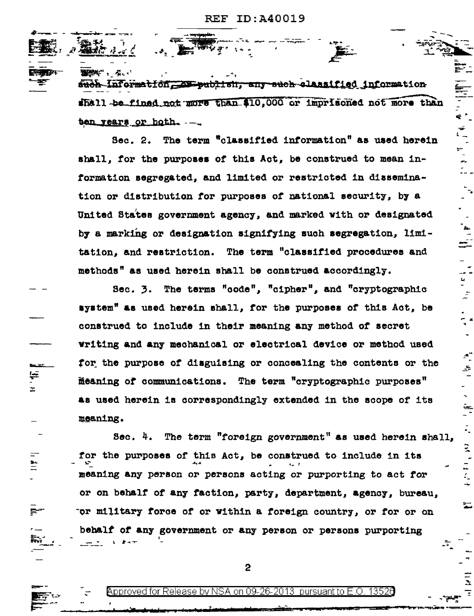্য ক

**The Country Country Country Country Country Country Country** such Information. As eachish, any such classified information shall be fined not more than \$10,000 or imprisoned not more than ten years or both. --.

₽

.<br>ዊ'

 $\ddot{h}$ 

÷

 $\begin{bmatrix} 1 & 0 & 0 \\ 0 & 0 & 0 \\ 0 & 0 & 0 \\ 0 & 0 & 0 \\ 0 & 0 & 0 \\ 0 & 0 & 0 \\ 0 & 0 & 0 \\ 0 & 0 & 0 \\ 0 & 0 & 0 \\ 0 & 0 & 0 \\ 0 & 0 & 0 \\ 0 & 0 & 0 \\ 0 & 0 & 0 \\ 0 & 0 & 0 & 0 \\ 0 & 0 & 0 & 0 \\ 0 & 0 & 0 & 0 \\ 0 & 0 & 0 & 0 & 0 \\ 0 & 0 & 0 & 0 & 0 \\ 0 & 0 & 0 & 0 & 0 \\ 0 & 0 & 0 & 0 & 0 &$ 

 $\vec{z}$ 

 $\cdot$ 

÷,

ie<br>-

 $\frac{1}{2}$ 

Sec. 2. The term "classified information" as used herein shall. for the purposes of this Act. be construed to mean information segregated, and limited or restricted in dissemination or distribution for purposes of national security, by a United States government agency, and marked with or designated by a marking or designation signifying such segregation, limitation, and restriction. The term "classified procedures and methods" as used herein shall be construed accordingly.

Sec. 3. The terms "code", "cipher", and "cryptographic system" as used herein shall, for the purposes of this Act, be construed to include in their meaning any method of secret writing and any mechanical or electrical device or method used for the purpose of disguising or concealing the contents or the meaning of communications. The term "cryptographic purposes" as used herein is correspondingly extended in the scope of its meaning.

 $\equiv$ 

 $\pm$ 

 $\stackrel{\bullet\bullet}{=}$ 

 $\blacksquare$ 

The term "foreign government" as used herein shall,  $30c.$  4. for the purposes of this Act, be construed to include in its meaning any person or persons acting or purporting to act for or on behalf of any faction, party, department, agency, bureau, or military force of or within a foreign country, or for or on behalf of any government or any person or persons purporting